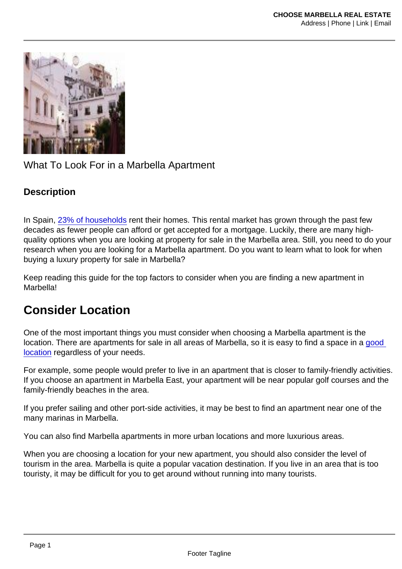#### What To Look For in a Marbella Apartment

#### **Description**

In Spain, [23% of households](https://www.brookings.edu/essay/spain-rental-housing-markets/) rent their homes. This rental market has grown through the past few decades as fewer people can afford or get accepted for a mortgage. Luckily, there are many highquality options when you are looking at property for sale in the Marbella area. Still, you need to do your research when you are looking for a Marbella apartment. Do you want to learn what to look for when buying a luxury property for sale in Marbella?

Keep reading this guide for the top factors to consider when you are finding a new apartment in **Marhella!** 

#### Consider Location

One of the most important things you must consider when choosing a Marbella apartment is the location. There are apartments for sale in all areas of Marbella, so it is easy to find a space in a [good](https://www.investopedia.com/financial-edge/0410/the-5-factors-of-a-good-location.aspx#:~:text=Location is key to valuable,well as plans for development.)  [location](https://www.investopedia.com/financial-edge/0410/the-5-factors-of-a-good-location.aspx#:~:text=Location is key to valuable,well as plans for development.) regardless of your needs.

For example, some people would prefer to live in an apartment that is closer to family-friendly activities. If you choose an apartment in Marbella East, your apartment will be near popular golf courses and the family-friendly beaches in the area.

If you prefer sailing and other port-side activities, it may be best to find an apartment near one of the many marinas in Marbella.

You can also find Marbella apartments in more urban locations and more luxurious areas.

When you are choosing a location for your new apartment, you should also consider the level of tourism in the area. Marbella is quite a popular vacation destination. If you live in an area that is too touristy, it may be difficult for you to get around without running into many tourists.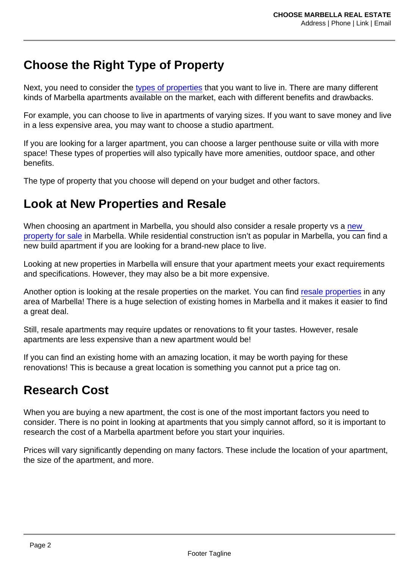# Choose the Right Type of Property

Next, you need to consider the [types of properties](https://choosemarbella.com/properties-by-type/) that you want to live in. There are many different kinds of Marbella apartments available on the market, each with different benefits and drawbacks.

For example, you can choose to live in apartments of varying sizes. If you want to save money and live in a less expensive area, you may want to choose a studio apartment.

If you are looking for a larger apartment, you can choose a larger penthouse suite or villa with more space! These types of properties will also typically have more amenities, outdoor space, and other benefits.

The type of property that you choose will depend on your budget and other factors.

#### Look at New Properties and Resale

When choosing an apartment in Marbella, you should also consider a resale property vs a new [property for sale](https://choosemarbella.com/new-properties/) in Marbella. While residential construction isn't as popular in Marbella, you can find a new build apartment if you are looking for a brand-new place to live.

Looking at new properties in Marbella will ensure that your apartment meets your exact requirements and specifications. However, they may also be a bit more expensive.

Another option is looking at the resale properties on the market. You can find [resale properties](https://choosemarbella.com/re-sale-properties/) in any area of Marbella! There is a huge selection of existing homes in Marbella and it makes it easier to find a great deal.

Still, resale apartments may require updates or renovations to fit your tastes. However, resale apartments are less expensive than a new apartment would be!

If you can find an existing home with an amazing location, it may be worth paying for these renovations! This is because a great location is something you cannot put a price tag on.

## Research Cost

When you are buying a new apartment, the cost is one of the most important factors you need to consider. There is no point in looking at apartments that you simply cannot afford, so it is important to research the cost of a Marbella apartment before you start your inquiries.

Prices will vary significantly depending on many factors. These include the location of your apartment, the size of the apartment, and more.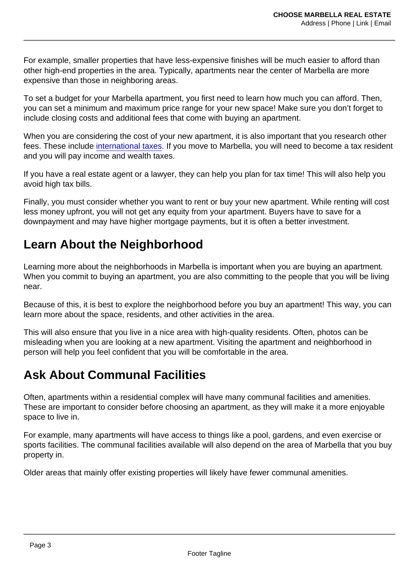For example, smaller properties that have less-expensive finishes will be much easier to afford than other high-end properties in the area. Typically, apartments near the center of Marbella are more expensive than those in neighboring areas.

To set a budget for your Marbella apartment, you first need to learn how much you can afford. Then, you can set a minimum and maximum price range for your new space! Make sure you don't forget to include closing costs and additional fees that come with buying an apartment.

When you are considering the cost of your new apartment, it is also important that you research other fees. These include [international taxes.](https://internationalliving.com/countries/spain/taxes-in-spain/) If you move to Marbella, you will need to become a tax resident and you will pay income and wealth taxes.

If you have a real estate agent or a lawyer, they can help you plan for tax time! This will also help you avoid high tax bills.

Finally, you must consider whether you want to rent or buy your new apartment. While renting will cost less money upfront, you will not get any equity from your apartment. Buyers have to save for a downpayment and may have higher mortgage payments, but it is often a better investment.

#### Learn About the Neighborhood

Learning more about the neighborhoods in Marbella is important when you are buying an apartment. When you commit to buying an apartment, you are also committing to the people that you will be living near.

Because of this, it is best to explore the neighborhood before you buy an apartment! This way, you can learn more about the space, residents, and other activities in the area.

This will also ensure that you live in a nice area with high-quality residents. Often, photos can be misleading when you are looking at a new apartment. Visiting the apartment and neighborhood in person will help you feel confident that you will be comfortable in the area.

# Ask About Communal Facilities

Often, apartments within a residential complex will have many communal facilities and amenities. These are important to consider before choosing an apartment, as they will make it a more enjoyable space to live in.

For example, many apartments will have access to things like a pool, gardens, and even exercise or sports facilities. The communal facilities available will also depend on the area of Marbella that you buy property in.

Older areas that mainly offer existing properties will likely have fewer communal amenities.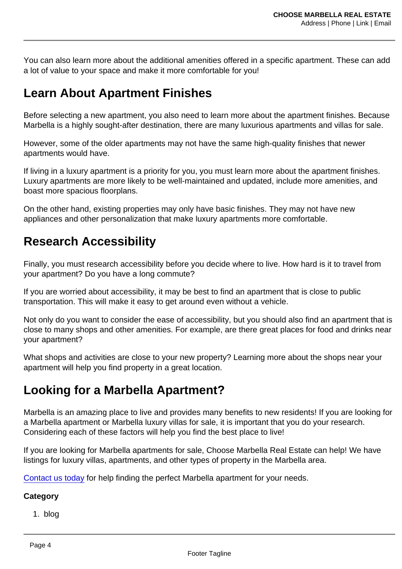You can also learn more about the additional amenities offered in a specific apartment. These can add a lot of value to your space and make it more comfortable for you!

#### Learn About Apartment Finishes

Before selecting a new apartment, you also need to learn more about the apartment finishes. Because Marbella is a highly sought-after destination, there are many luxurious apartments and villas for sale.

However, some of the older apartments may not have the same high-quality finishes that newer apartments would have.

If living in a luxury apartment is a priority for you, you must learn more about the apartment finishes. Luxury apartments are more likely to be well-maintained and updated, include more amenities, and boast more spacious floorplans.

On the other hand, existing properties may only have basic finishes. They may not have new appliances and other personalization that make luxury apartments more comfortable.

## Research Accessibility

Finally, you must research accessibility before you decide where to live. How hard is it to travel from your apartment? Do you have a long commute?

If you are worried about accessibility, it may be best to find an apartment that is close to public transportation. This will make it easy to get around even without a vehicle.

Not only do you want to consider the ease of accessibility, but you should also find an apartment that is close to many shops and other amenities. For example, are there great places for food and drinks near your apartment?

What shops and activities are close to your new property? Learning more about the shops near your apartment will help you find property in a great location.

## Looking for a Marbella Apartment?

Marbella is an amazing place to live and provides many benefits to new residents! If you are looking for a Marbella apartment or Marbella luxury villas for sale, it is important that you do your research. Considering each of these factors will help you find the best place to live!

If you are looking for Marbella apartments for sale, Choose Marbella Real Estate can help! We have listings for luxury villas, apartments, and other types of property in the Marbella area.

[Contact us today](https://choosemarbella.com/contact-us/) for help finding the perfect Marbella apartment for your needs.

**Category** 

1. blog